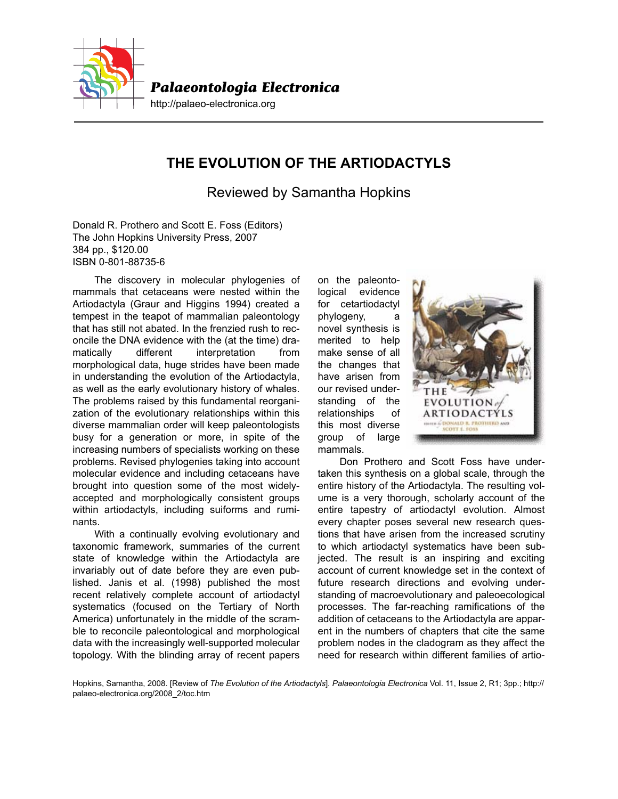

## **THE EVOLUTION OF THE ARTIODACTYLS**

Reviewed by Samantha Hopkins

Donald R. Prothero and Scott E. Foss (Editors) The John Hopkins University Press, 2007 384 pp., \$120.00 ISBN 0-801-88735-6

The discovery in molecular phylogenies of mammals that cetaceans were nested within the Artiodactyla (Graur and Higgins 1994) created a tempest in the teapot of mammalian paleontology that has still not abated. In the frenzied rush to reconcile the DNA evidence with the (at the time) dramatically different interpretation from morphological data, huge strides have been made in understanding the evolution of the Artiodactyla, as well as the early evolutionary history of whales. The problems raised by this fundamental reorganization of the evolutionary relationships within this diverse mammalian order will keep paleontologists busy for a generation or more, in spite of the increasing numbers of specialists working on these problems. Revised phylogenies taking into account molecular evidence and including cetaceans have brought into question some of the most widelyaccepted and morphologically consistent groups within artiodactyls, including suiforms and ruminants.

With a continually evolving evolutionary and taxonomic framework, summaries of the current state of knowledge within the Artiodactyla are invariably out of date before they are even published. Janis et al. (1998) published the most recent relatively complete account of artiodactyl systematics (focused on the Tertiary of North America) unfortunately in the middle of the scramble to reconcile paleontological and morphological data with the increasingly well-supported molecular topology. With the blinding array of recent papers

on the paleontological evidence for cetartiodactyl phylogeny, a novel synthesis is merited to help make sense of all the changes that have arisen from our revised understanding of the relationships of this most diverse group of large mammals.



Don Prothero and Scott Foss have undertaken this synthesis on a global scale, through the entire history of the Artiodactyla. The resulting volume is a very thorough, scholarly account of the entire tapestry of artiodactyl evolution. Almost every chapter poses several new research questions that have arisen from the increased scrutiny to which artiodactyl systematics have been subjected. The result is an inspiring and exciting account of current knowledge set in the context of future research directions and evolving understanding of macroevolutionary and paleoecological processes. The far-reaching ramifications of the addition of cetaceans to the Artiodactyla are apparent in the numbers of chapters that cite the same problem nodes in the cladogram as they affect the need for research within different families of artio-

Hopkins, Samantha, 2008. [Review of *The Evolution of the Artiodactyls*]. *Palaeontologia Electronica* Vol. 11, Issue 2, R1; 3pp.; http:// palaeo-electronica.org/2008\_2/toc.htm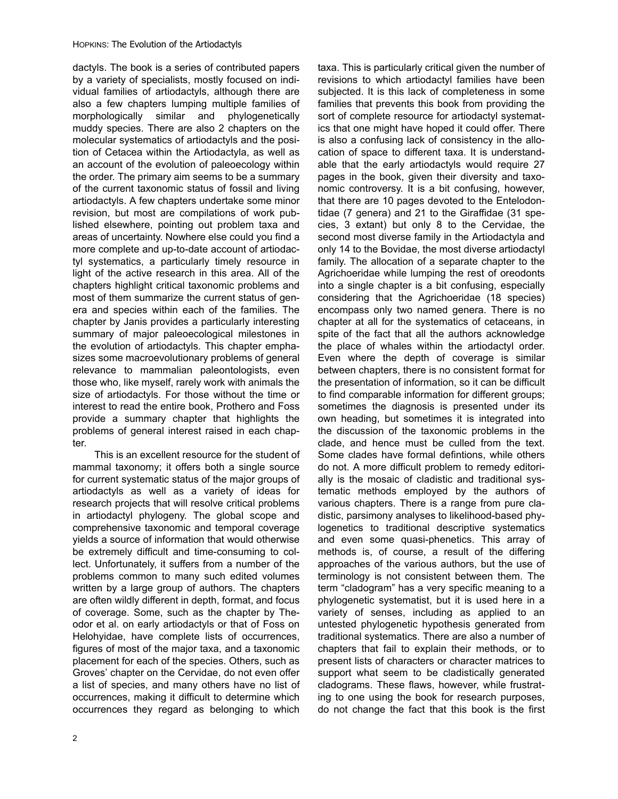dactyls. The book is a series of contributed papers by a variety of specialists, mostly focused on individual families of artiodactyls, although there are also a few chapters lumping multiple families of morphologically similar and phylogenetically muddy species. There are also 2 chapters on the molecular systematics of artiodactyls and the position of Cetacea within the Artiodactyla, as well as an account of the evolution of paleoecology within the order. The primary aim seems to be a summary of the current taxonomic status of fossil and living artiodactyls. A few chapters undertake some minor revision, but most are compilations of work published elsewhere, pointing out problem taxa and areas of uncertainty. Nowhere else could you find a more complete and up-to-date account of artiodactyl systematics, a particularly timely resource in light of the active research in this area. All of the chapters highlight critical taxonomic problems and most of them summarize the current status of genera and species within each of the families. The chapter by Janis provides a particularly interesting summary of major paleoecological milestones in the evolution of artiodactyls. This chapter emphasizes some macroevolutionary problems of general relevance to mammalian paleontologists, even those who, like myself, rarely work with animals the size of artiodactyls. For those without the time or interest to read the entire book, Prothero and Foss provide a summary chapter that highlights the problems of general interest raised in each chapter.

This is an excellent resource for the student of mammal taxonomy; it offers both a single source for current systematic status of the major groups of artiodactyls as well as a variety of ideas for research projects that will resolve critical problems in artiodactyl phylogeny. The global scope and comprehensive taxonomic and temporal coverage yields a source of information that would otherwise be extremely difficult and time-consuming to collect. Unfortunately, it suffers from a number of the problems common to many such edited volumes written by a large group of authors. The chapters are often wildly different in depth, format, and focus of coverage. Some, such as the chapter by Theodor et al. on early artiodactyls or that of Foss on Helohyidae, have complete lists of occurrences, figures of most of the major taxa, and a taxonomic placement for each of the species. Others, such as Groves' chapter on the Cervidae, do not even offer a list of species, and many others have no list of occurrences, making it difficult to determine which occurrences they regard as belonging to which

taxa. This is particularly critical given the number of revisions to which artiodactyl families have been subjected. It is this lack of completeness in some families that prevents this book from providing the sort of complete resource for artiodactyl systematics that one might have hoped it could offer. There is also a confusing lack of consistency in the allocation of space to different taxa. It is understandable that the early artiodactyls would require 27 pages in the book, given their diversity and taxonomic controversy. It is a bit confusing, however, that there are 10 pages devoted to the Entelodontidae (7 genera) and 21 to the Giraffidae (31 species, 3 extant) but only 8 to the Cervidae, the second most diverse family in the Artiodactyla and only 14 to the Bovidae, the most diverse artiodactyl family. The allocation of a separate chapter to the Agrichoeridae while lumping the rest of oreodonts into a single chapter is a bit confusing, especially considering that the Agrichoeridae (18 species) encompass only two named genera. There is no chapter at all for the systematics of cetaceans, in spite of the fact that all the authors acknowledge the place of whales within the artiodactyl order. Even where the depth of coverage is similar between chapters, there is no consistent format for the presentation of information, so it can be difficult to find comparable information for different groups; sometimes the diagnosis is presented under its own heading, but sometimes it is integrated into the discussion of the taxonomic problems in the clade, and hence must be culled from the text. Some clades have formal defintions, while others do not. A more difficult problem to remedy editorially is the mosaic of cladistic and traditional systematic methods employed by the authors of various chapters. There is a range from pure cladistic, parsimony analyses to likelihood-based phylogenetics to traditional descriptive systematics and even some quasi-phenetics. This array of methods is, of course, a result of the differing approaches of the various authors, but the use of terminology is not consistent between them. The term "cladogram" has a very specific meaning to a phylogenetic systematist, but it is used here in a variety of senses, including as applied to an untested phylogenetic hypothesis generated from traditional systematics. There are also a number of chapters that fail to explain their methods, or to present lists of characters or character matrices to support what seem to be cladistically generated cladograms. These flaws, however, while frustrating to one using the book for research purposes, do not change the fact that this book is the first